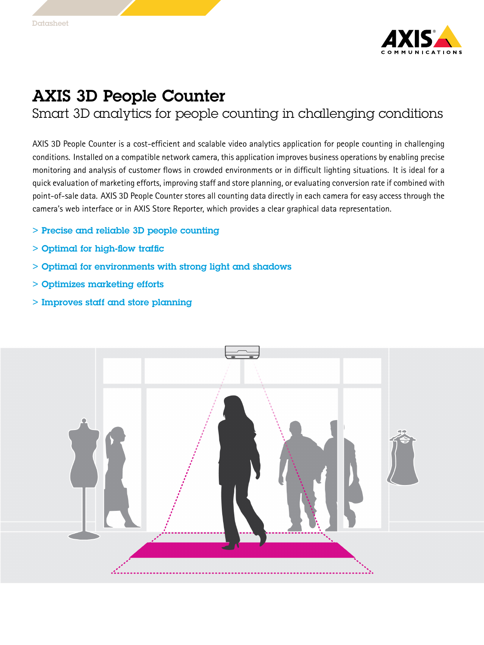

## AXIS 3D People Counter

Smart 3D analytics for people counting in challenging conditions

AXIS 3D People Counter is <sup>a</sup> cost-efficient and scalable video analytics application for people counting in challenging conditions. Installed on <sup>a</sup> compatible network camera, this application improves business operations by enabling precise monitoring and analysis of customer flows in crowded environments or in difficult lighting situations. It is ideal for <sup>a</sup> quick evaluation of marketing efforts, improving staff and store planning, or evaluating conversion rate if combined with point-of-sale data. AXIS 3D People Counter stores all counting data directly in each camera for easy access through the camera's web interface or in AXIS Store Reporter, which provides <sup>a</sup> clear graphical data representation.

- > Precise and reliable 3D people counting
- > Optimal for high-flow traffic
- > Optimal for environments with strong light and shadows
- > Optimizes marketing efforts
- > Improves staff and store planning